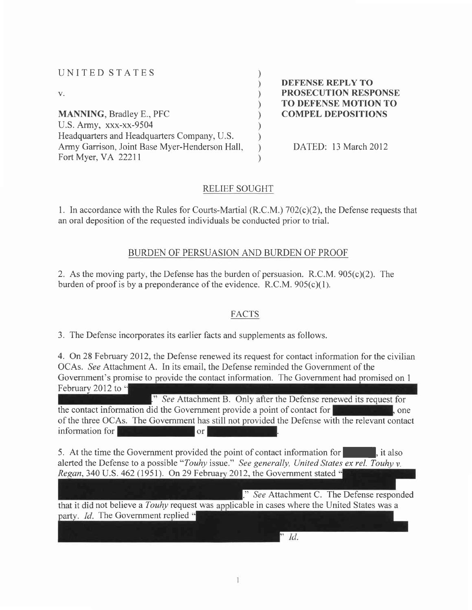#### UNITED STATES

 $V_{\star}$ 

MANNING, Bradley E., PFC U.S. Army, xxx-xx-9504 Headquarters and Headquarters Company, U.S. Army Garrison, Joint Base Myer-Henderson Hall, Fort Mver. VA 22211

DEFENSE REPLY TO PROSECUTION RESPONSE TO DEFENSE MOTION TO COMPEL DEPOSITIONS

DATED: 13 March 2012

### RELIEF SOUGHT

J.

1. In accordance with the Rules for Courts-Martial  $(R.C.M.)$  702 $(c)(2)$ , the Defense requests that an oral deposition of the requested individuals be conducted prior to trial.

### BURDEN OF PERSUASION AND BURDEN OF PROOF

2. As the moving party, the Defense has the burden of persuasion. R.C.M.  $905(c)(2)$ . The burden of proof is by a preponderance of the evidence.  $R.C.M. 905(c)(1)$ .

## FACTS

3. The Defense incorporates its earlier facts and supplements as follows.

4. On 28 February 2012, the Defense renewed its request for contact information for the civilian OCAs. See Attachment A. In its email, the Defense reminded the Government of the Government's promise to provide the contact information. The Government had promised on 1 February 2012 to "

." See Attachment B. Only after the Defense renewed its request for the contact information did the Government provide a point of contact for  $\|\cdot\|$ , one of the three OCAs. The Government has still not provided the Defense with the relevant contact  $\frac{1}{2}$  information for  $\frac{1}{2}$  or  $\frac{1}{2}$  or

5. At the time the Government provided the point of contact information for  $\blacksquare$ , it also alerted the Defense to a possible "Touhy issue." See generally, United States ex rel. Touhy v. Regan, 340 U.S. 462 (1951). On 29 February 2012, the Government stated  $\ddot{\cdot}$ 

." See Attachment C. The Defense responded not believe a *Touhy* request was applicable in cases where the United States was a party. *Id.* The Government replied "

 $\overline{d}$ .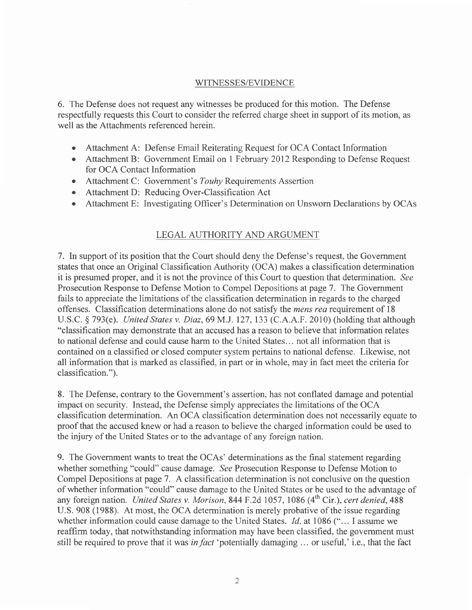#### WITNESSES/EVIDENCE

6. The Defense does not request any witnesses be produced for this motion. The Defense respectfully requests this Court to consider the referred charge sheet in support of its motion, as well as the Attachments referenced herein.

- Attachment A: Defense Email Reiterating Request for OCA Contact Information o
- Attachment B: Government Email on 1 February 2012 Responding to Defense Request for OCA Contact Information
- Attachment C: Government's Touhy Requirements Assertion
- Attachment D: Reducing Over-Classification Act o
- Attachment E: Investigating Officer's Determination on Unsworn Declarations by OCAs a

## LEGAL AUTHORITY AND ARGUMENT

7. In support of its position that the Court should deny the Defense's request, the Government states that once an Original Classification Authority (OCA) makes a classification determination it is presumed proper, and it is not the province of this Court to question that determination. See Prosecution Response to Defense Motion to Compel Depositions at page 7. The Government fails to appreciate the limitations of the classification determination in regards to the charged offenses. Classification determinations alone do not satisfy the *mens rea* requirement of 18 U.S.C. \$ 793(e). United Stares v. Diaz,69 M.J. 127, 133 (C.A.A.F. 2010) (holding that although "classification may demonstrate that an accused has a reason to believe that information relates to national defense and could cause harm to the United States... not all information that is contained on a classified or closed computer system pertains to national defense. Likewise, not all information that is marked as classified, in part or in whole, may in fact meet the criteria for classification.").

8. The Defense, contrary to the Government's assertion, has not conflated damage and potential impact on security. Instead, the Defense simply appreciates the limitations of the OCA classification determination. An OCA classification determination does not necessarily equate to proof that the accused knew or had a reason to believe the charged information could be used to the injury of the United States or to the advantage of any foreign nation.

9. The Government wants to treat the OCAs' determinations as the final statement regarding whether something "could" cause damage. See Prosecution Response to Defense Motion to Compel Depositions at page 7. A classification determination is not conclusive on the question of whether information "could" cause damage to the United States or be used to the advantage of any foreign nation. United States v. Morison, 844 F.2d 1057, 1086 (4<sup>th</sup> Cir.), cert denied, 488 U.S. 908 (1988). At most, the OCA determination is merely probative of the issue regarding whether information could cause damage to the United States. *Id.* at 1086 ("... I assume we reaffirm today, that notwithstanding information may have been classified, the govemment must still be required to prove that it was in fact 'potentially damaging  $\ldots$  or useful, i.e., that the fact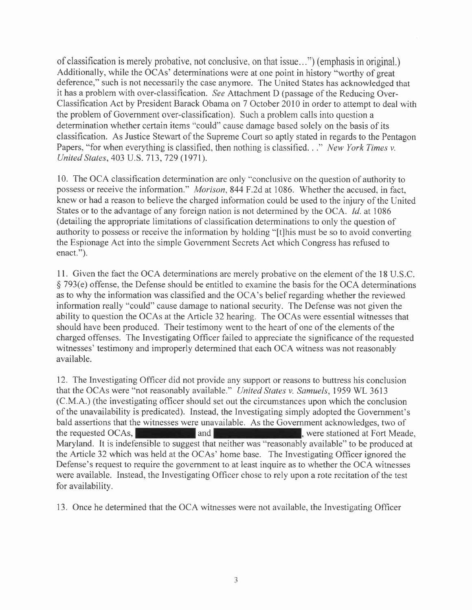of classification is merely probative, not conclusive, on that issue...") (emphasis in original.) Additionally, while the OCAs' determinations were at one point in history "worthy of great deference," such is not necessarily the case anymore. The United States has acknowledged that it has a problem with over-classification. See Attachment D (passage of the Reducing Over-Classification Act by President Barack Obama on 7 October 2010 in order to attempt to deal with the problem of Government over-classification). Such a problem calls into question a determination whether certain items "could" cause damage based solely on the basis of its classification. As Justice Stewart of the Supreme Court so aptly stated in regards to the Pentagon Papers, "for when everything is classified, then nothing is classified. . ." New York Times v. United States,403 U.S. 713,729 (1971).

10. The OCA classification determination are only "conclusive on the question of authority to possess or receive the information." *Morison*, 844 F.2d at 1086. Whether the accused, in fact, knew or had a reason to believe the charged information could be used to the injury of the United States or to the advantage of any foreign nation is not determined by the OCA. *Id.* at 1086 (detailing the appropriate limitations of classification determinations to only the question of authority to possess or receive the information by holding "[t]his must be so to avoid converting the Espionage Act into the simple Government Secrets Act which Congress has refused to enact.").

<sup>I</sup>l. Given the fact the OCA determinations are merely probative on the element of the l8 U.S.C. \$ 793(e) offense, the Defense should be entitled to examine the basis for the OCA determinations as to why the information was classified and the OCA's belief regarding whether the reviewed information really "could" cause damage to national security. The Defense was not given the ability to question the OCAs at the Article 32 hearing. The OCAs were essential witnesses that should have been produced. Their testimony went to the heart of one of the elements of the charged offenses. The Investigating Officer failed to appreciate the significance of the requested witnesses' testimony and improperly determined that each OCA witness was not reasonably available.

12. The Investigating Officer did not provide any support or reasons to buttress his conclusion that the OCAs were "not reasonably available." United States v. Samuels, 1959 WL 3613 (C.M.A.) (the investigating officer should set out the circumstances upon which the conclusion of the unavailability is predicated). Instead, the Investigating simply adopted the Government's bald assertions that the witnesses were unavailable. As the Govemment acknowledges, two of the requested OCAs, **and and at Fort Meade,** were stationed at Fort Meade, Maryland. It is indefensible to suggest that neither was "reasonably available" to be produced at the Article 32 which was held at the OCAs' home base. The Investigating Officer ignored the Defense's request to require the government to at least inquire as to whether the OCA witnesses were available. Instead, the Investigating Officer chose to rely upon a rote recitation of the test for availability.

13. Once he determined that the OCA witnesses were not available, the Investigating Officer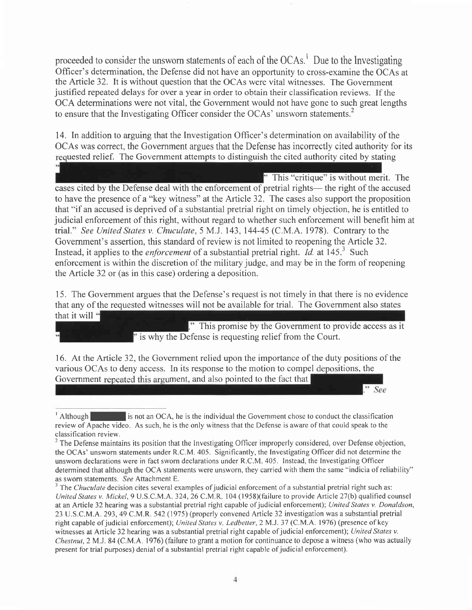proceeded to consider the unsworn statements of each of the  $OCAs<sup>1</sup>$ . Due to the Investigating Officer's determination, the Defense did not have an opportunity to cross-examine the OCAs at the Article 32. lt is without question that the OCAs were vital witnesses. The Government justified repeated delays for over a year in order to obtain their classification reviews. If the OCA determinations were not vital, the Government would not have gone to such great lengths to ensure that the Investigating Officer consider the OCAs' unsworn statements.<sup>2</sup>

14. In addition to arguing that the Investigation Officer's determination on availability of the OCAs was correct, the Government argues that the Defense has incorrectly cited authority for its requested relief. The Government attempts to distinguish the cited authority cited by stating

 $\mathbb{T}$  This "critique" is without merit. The cases cited by the Defense deal with the enforcement of pretrial rights— the right of the accused to have the presence of a "key witness" at the Article 32. The cases also support the proposition that "if an accused is deprived of a substantial pretrial right on timely objection, he is entitled to judicial enforcement of this right, without regard to whether such enforcement will benefit him at trial." See United States v. Chuculate,5 M.J. 143,144-45 (C.M.A. 1978). Contrary to the Government's assertion, this standard of review is not limited to reopening the Article 32. Instead, it applies to the *enforcement* of a substantial pretrial right. *Id.* at 145.<sup>3</sup> Such enforcement is within the discretion of the military judge, and may be in the form of reopening the Article 32 or (as in this case) ordering a deposition.

15. The Government argues that the Defense's request is not timely in that there is no evidence that any of the requested witnesses will not be available for trial. The Government also states that it will

." This promise by the Government to provide access as it ' is why the Defense is requesting relief from the Court.

 $"$  See

16. At the Article 32, the Government relied upon the importance of the duty positions of the various OCAs to deny access. In its response to the motion to compel depositions, the Government repeated this argument, and also pointed to the fact that

 $\frac{1}{1}$  Although I is not an OCA, he is the individual the Government chose to conduct the classification review of Apache video. As such, he is the only witness that the Defense is aware of that could speak to the classification review.

 $2$  The Defense maintains its position that the Investigating Officer improperly considered, over Defense objection, the OCAs' unsworn statements under R.C.M. 405. Significantly, the lnvestigating Officer did not determine the unsworn declarations were in fact sworn declarations under R.C.M. 405. Instead, the Investigating Officer determined that although the OCA statements were unsworn, they carried with them the same "indicia of reliability" as sworn statements. See Attachment E.

 $3$  The *Chuculate* decision cites several examples of judicial enforcement of a substantial pretrial right such as: United States v. Mickel, 9 U.S.C.M.A. 324, 26 C.M.R. 104 (1958)(failure to provide Article 27(b) qualified counsel at an Article 32 hearing was a substantial pretrial right capable of judicial enforcement); United States v. Donaldson, 23 U.S.C.M.A .293,49 C.M.R. 542 (1975) (properly convened Afticle 32 investigation was a substantial pretrial right capable of judicial enforcement); United States v. Ledbetter, 2 M.J. 37 (C.M.A. 1976) (presence of key witnesses at Article 32 hearing was a substantial pretrial right capable of judicial enforcement); United States v. Chestnut,2M.I.84 (C.M.A. 1976) (failure to grant a motion for continuance to depose a witness (who was actually present for trial purposes) denial of a substantial pretrial right capable of judicial enforcement).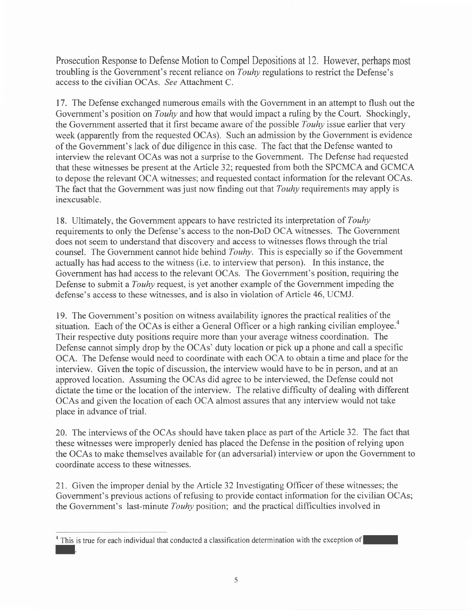Prosecution Response to Defense Motion to Compel Depositions at 12. However, perhaps most troubling is the Government's recent reliance on Touhy regulations to restrict the Defense's access to the civilian OCAs. See Attachment C.

17. The Defense exchanged numerous emails with the Government in an attempt to flush out the Government's position on *Touhy* and how that would impact a ruling by the Court. Shockingly, the Government asserted that it first became aware of the possible Touhy issue earlier that very week (apparently from the requested OCAs). Such an admission by the Government is evidence of the Government's lack of due diligence in this case. The fact that the Defense wanted to interview the relevant OCAs was not a surprise to the Government. The Defense had requested that these witnesses be present at the Article 32; requested from both the SPCMCA and GCMCA to depose the relevant OCA witnesses; and requested contact information for the relevant OCAs. The fact that the Government was just now finding out that *Touhy* requirements may apply is inexcusable.

18. Ultimately, the Government appears to have restricted its interpretation of Touhy requirements to only the Defense's access to the non-DoD OCA witnesses. The Government does not seem to understand that discovery and access to witnesses flows through the trial counsel. The Government cannot hide behind Touhy. This is especially so if the Government actually has had access to the witness (i.e. to interview that person). In this instance, the Government has had access to the relevant OCAs. The Government's position, requiring the Defense to submit a *Touhy* request, is yet another example of the Government impeding the defense's access to these witnesses, and is also in violation of Article 46, UCMJ.

19. The Government's position on witness availability ignores the practical realities of the situation. Each of the OCAs is either a General Officer or a high ranking civilian employee.<sup>4</sup> Their respective duty positions require more than your average witness coordination. The Defense cannot simply drop by the OCAs' duty location or pick up a phone and call a specific OCA. The Defense would need to coordinate with each OCA to obtain a time and place for the interview. Given the topic of discussion, the interview would have to be in person, and at an approved location. Assuming the OCAs did agree to be interviewed, the Defense could not dictate the time or the location of the interview. The relative difficulty of dealing with different OCAs and given the location of each OCA almost assures that any interview would not take place in advance of trial.

20. The interviews of the OCAs should have taken place as part of the Article 32. The fact that these witnesses were improperly denied has placed the Defense in the position of relying upon the OCAs to make themselves available for (an adversarial) interview or upon the Government to coordinate access to these witnesses.

21. Given the improper denial by the Article 32 Investigating Officer of these witnesses; the Government's previous actions of refusing to provide contact information for the civilian OCAs; the Government's last-minute Touhy position; and the practical difficulties involved in

<sup>&</sup>lt;sup>4</sup> This is true for each individual that conducted a classification determination with the exception of  $\blacksquare$ .